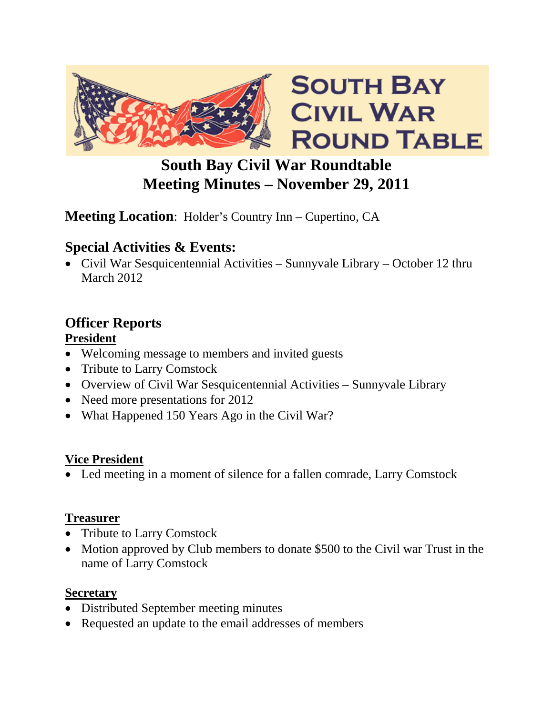

# **South Bay Civil War Roundtable Meeting Minutes – November 29, 2011**

# **Meeting Location**: Holder's Country Inn – Cupertino, CA

### **Special Activities & Events:**

• Civil War Sesquicentennial Activities – Sunnyvale Library – October 12 thru March 2012

# **Officer Reports**

### **President**

- Welcoming message to members and invited guests
- Tribute to Larry Comstock
- Overview of Civil War Sesquicentennial Activities Sunnyvale Library
- Need more presentations for 2012
- What Happened 150 Years Ago in the Civil War?

#### **Vice President**

• Led meeting in a moment of silence for a fallen comrade, Larry Comstock

#### **Treasurer**

- Tribute to Larry Comstock
- Motion approved by Club members to donate \$500 to the Civil war Trust in the name of Larry Comstock

#### **Secretary**

- Distributed September meeting minutes
- Requested an update to the email addresses of members